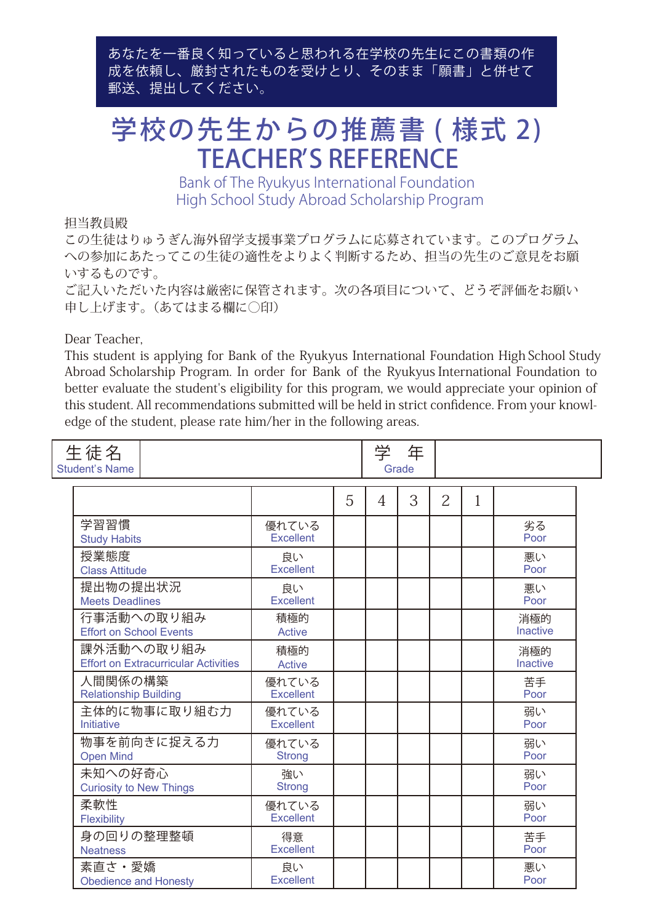あなたを一番良く知っていると思われる在学校の先生にこの書類の作 成を依頼し、厳封されたものを受けとり、そのまま「願書」と併せて 郵送、提出してください。

## 学校の先生からの推薦書 ( 様式 2) TEACHER'S REFERENCE

Bank of The Ryukyus International Foundation High School Study Abroad Scholarship Program

## 担当教員殿

この生徒はりゅうぎん海外留学支援事業プログラムに応募されています。このプログラム への参加にあたってこの生徒の適性をよりよく判断するため、担当の先生のご意見をお願 いするものです。

ご記入いただいた内容は厳密に保管されます。次の各項目について、どうぞ評価をお願い 申し上げます。(あてはまる欄に○印)

Dear Teacher,

This student is applying for Bank of the Ryukyus International Foundation High School Study Abroad Scholarship Program. In order for Bank of the Ryukyus International Foundation to better evaluate the student's eligibility for this program, we would appreciate your opinion of this student. All recommendations submitted will be held in strict confidence. From your knowledge of the student, please rate him/her in the following areas.

| 学<br>生徒名<br>年<br><b>Student's Name</b><br>Grade           |                           |   |   |   |                |   |                        |  |
|-----------------------------------------------------------|---------------------------|---|---|---|----------------|---|------------------------|--|
|                                                           |                           | 5 | 4 | 3 | $\overline{2}$ | 1 |                        |  |
| 学習習慣<br><b>Study Habits</b>                               | 優れている<br><b>Excellent</b> |   |   |   |                |   | 劣る<br>Poor             |  |
| 授業態度<br><b>Class Attitude</b>                             | 良い<br><b>Excellent</b>    |   |   |   |                |   | 悪い<br>Poor             |  |
| 提出物の提出状況<br><b>Meets Deadlines</b>                        | 良い<br><b>Excellent</b>    |   |   |   |                |   | 悪い<br>Poor             |  |
| 行事活動への取り組み<br><b>Effort on School Events</b>              | 積極的<br>Active             |   |   |   |                |   | 消極的<br>Inactive        |  |
| 課外活動への取り組み<br><b>Effort on Extracurricular Activities</b> | 積極的<br><b>Active</b>      |   |   |   |                |   | 消極的<br><b>Inactive</b> |  |
| 人間関係の構築<br><b>Relationship Building</b>                   | 優れている<br><b>Excellent</b> |   |   |   |                |   | 苦手<br>Poor             |  |
| 主体的に物事に取り組む力<br>Initiative                                | 優れている<br><b>Excellent</b> |   |   |   |                |   | 弱い<br>Poor             |  |
| 物事を前向きに捉える力<br><b>Open Mind</b>                           | 優れている<br><b>Strong</b>    |   |   |   |                |   | 弱い<br>Poor             |  |
| 未知への好奇心<br><b>Curiosity to New Things</b>                 | 強い<br><b>Strong</b>       |   |   |   |                |   | 弱い<br>Poor             |  |
| 柔軟性<br>Flexibility                                        | 優れている<br><b>Excellent</b> |   |   |   |                |   | 弱い<br>Poor             |  |
| 身の回りの整理整頓<br><b>Neatness</b>                              | 得意<br><b>Excellent</b>    |   |   |   |                |   | 苦手<br>Poor             |  |
| 素直さ・愛嬌<br><b>Obedience and Honesty</b>                    | 良い<br><b>Excellent</b>    |   |   |   |                |   | 悪い<br>Poor             |  |